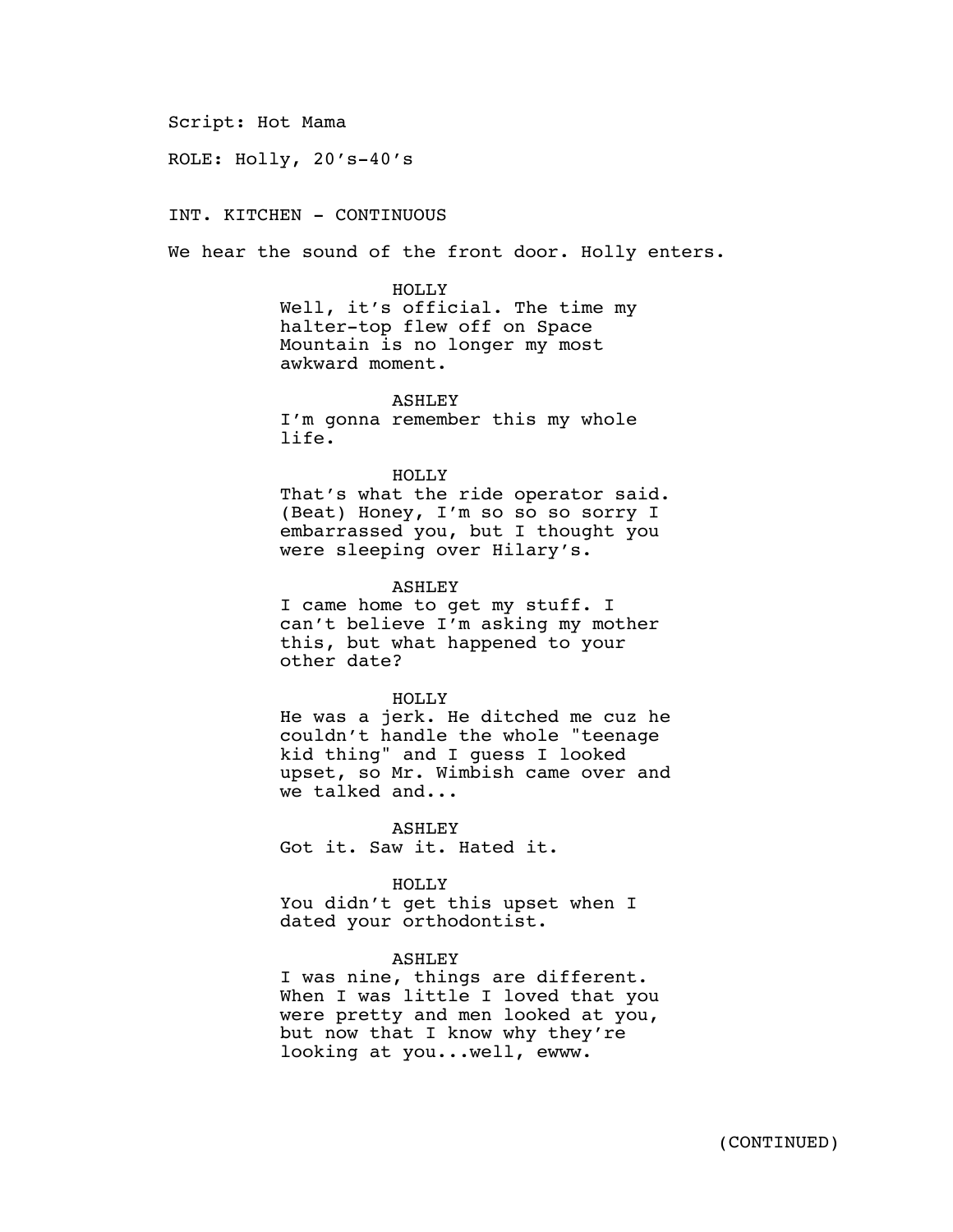#### Script: Hot Mama

ROLE: Holly, 20's-40's

# INT. KITCHEN - CONTINUOUS

We hear the sound of the front door. Holly enters.

HOLLY Well, it's official. The time my halter-top flew off on Space Mountain is no longer my most awkward moment.

ASHLEY I'm gonna remember this my whole life.

### HOLLY

That's what the ride operator said. (Beat) Honey, I'm so so so sorry I embarrassed you, but I thought you were sleeping over Hilary's.

### ASHLEY

I came home to get my stuff. I can't believe I'm asking my mother this, but what happened to your other date?

#### HOLLY

He was a jerk. He ditched me cuz he couldn't handle the whole "teenage kid thing" and I guess I looked upset, so Mr. Wimbish came over and we talked and...

### ASHLEY

Got it. Saw it. Hated it.

### HOLLY

You didn't get this upset when I dated your orthodontist.

### ASHLEY

I was nine, things are different. When I was little I loved that you were pretty and men looked at you, but now that I know why they're looking at you...well, ewww.